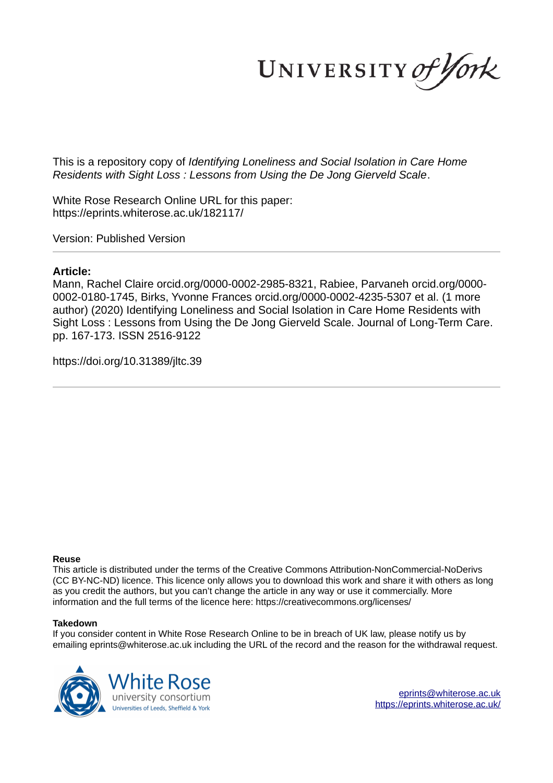UNIVERSITY of York

This is a repository copy of *Identifying Loneliness and Social Isolation in Care Home Residents with Sight Loss : Lessons from Using the De Jong Gierveld Scale*.

White Rose Research Online URL for this paper: https://eprints.whiterose.ac.uk/182117/

Version: Published Version

# **Article:**

Mann, Rachel Claire orcid.org/0000-0002-2985-8321, Rabiee, Parvaneh orcid.org/0000- 0002-0180-1745, Birks, Yvonne Frances orcid.org/0000-0002-4235-5307 et al. (1 more author) (2020) Identifying Loneliness and Social Isolation in Care Home Residents with Sight Loss : Lessons from Using the De Jong Gierveld Scale. Journal of Long-Term Care. pp. 167-173. ISSN 2516-9122

https://doi.org/10.31389/jltc.39

# **Reuse**

This article is distributed under the terms of the Creative Commons Attribution-NonCommercial-NoDerivs (CC BY-NC-ND) licence. This licence only allows you to download this work and share it with others as long as you credit the authors, but you can't change the article in any way or use it commercially. More information and the full terms of the licence here: https://creativecommons.org/licenses/

# **Takedown**

If you consider content in White Rose Research Online to be in breach of UK law, please notify us by emailing eprints@whiterose.ac.uk including the URL of the record and the reason for the withdrawal request.



eprints@whiterose.ac.uk https://eprints.whiterose.ac.uk/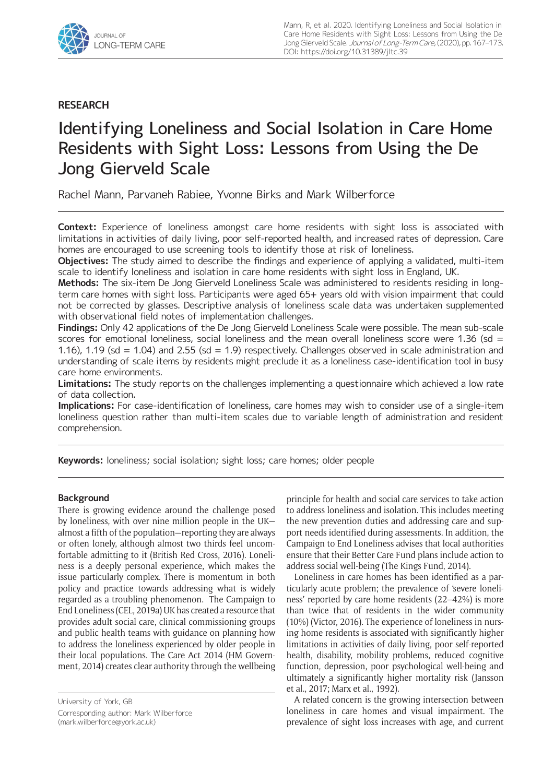

# **RESEARCH**

# Identifying Loneliness and Social Isolation in Care Home Residents with Sight Loss: Lessons from Using the De Jong Gierveld Scale

Rachel Mann, Parvaneh Rabiee, Yvonne Birks and Mark Wilberforce

**Context:** Experience of loneliness amongst care home residents with sight loss is associated with limitations in activities of daily living, poor self-reported health, and increased rates of depression. Care homes are encouraged to use screening tools to identify those at risk of loneliness.

**Objectives:** The study aimed to describe the findings and experience of applying a validated, multi-item scale to identify loneliness and isolation in care home residents with sight loss in England, UK.

**Methods:** The six-item De Jong Gierveld Loneliness Scale was administered to residents residing in longterm care homes with sight loss. Participants were aged 65+ years old with vision impairment that could not be corrected by glasses. Descriptive analysis of loneliness scale data was undertaken supplemented with observational field notes of implementation challenges.

**Findings:** Only 42 applications of the De Jong Gierveld Loneliness Scale were possible. The mean sub-scale scores for emotional loneliness, social loneliness and the mean overall loneliness score were 1.36 (sd = 1.16), 1.19 (sd = 1.04) and 2.55 (sd = 1.9) respectively. Challenges observed in scale administration and understanding of scale items by residents might preclude it as a loneliness case-identification tool in busy care home environments.

**Limitations:** The study reports on the challenges implementing a questionnaire which achieved a low rate of data collection.

**Implications:** For case-identification of loneliness, care homes may wish to consider use of a single-item loneliness question rather than multi-item scales due to variable length of administration and resident comprehension.

**Keywords:** loneliness; social isolation; sight loss; care homes; older people

# **Background**

There is growing evidence around the challenge posed by loneliness, with over nine million people in the UK almost a fifth of the population—reporting they are always or often lonely, although almost two thirds feel uncomfortable admitting to it (British Red Cross, 2016). Loneliness is a deeply personal experience, which makes the issue particularly complex. There is momentum in both policy and practice towards addressing what is widely regarded as a troubling phenomenon. The Campaign to End Loneliness (CEL, 2019a) UK has created a resource that provides adult social care, clinical commissioning groups and public health teams with guidance on planning how to address the loneliness experienced by older people in their local populations. The Care Act 2014 (HM Government, 2014) creates clear authority through the wellbeing

University of York, GB Corresponding author: Mark Wilberforce (mark.wilberforce@york.ac.uk)

principle for health and social care services to take action to address loneliness and isolation. This includes meeting the new prevention duties and addressing care and support needs identified during assessments. In addition, the Campaign to End Loneliness advises that local authorities ensure that their Better Care Fund plans include action to address social well-being (The Kings Fund, 2014).

Loneliness in care homes has been identified as a particularly acute problem; the prevalence of 'severe loneliness' reported by care home residents (22–42%) is more than twice that of residents in the wider community (10%) (Victor, 2016). The experience of loneliness in nursing home residents is associated with significantly higher limitations in activities of daily living, poor self-reported health, disability, mobility problems, reduced cognitive function, depression, poor psychological well-being and ultimately a significantly higher mortality risk (Jansson et al., 2017; Marx et al., 1992).

A related concern is the growing intersection between loneliness in care homes and visual impairment. The prevalence of sight loss increases with age, and current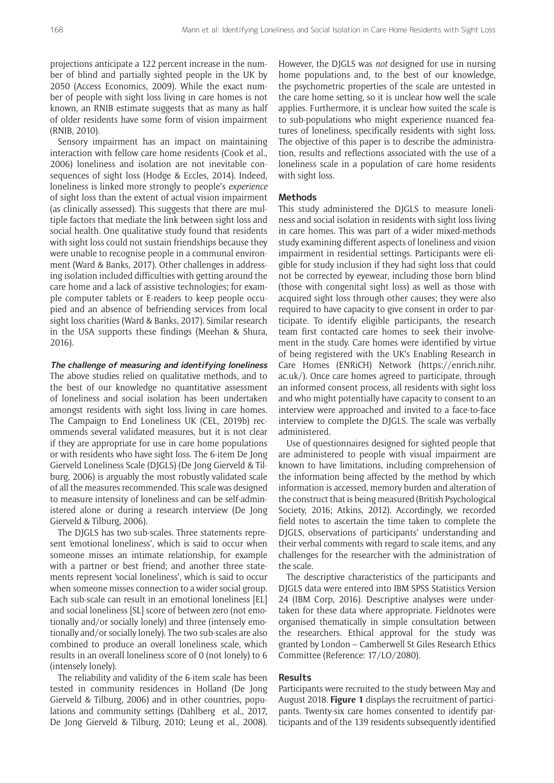projections anticipate a 122 percent increase in the number of blind and partially sighted people in the UK by 2050 (Access Economics, 2009). While the exact number of people with sight loss living in care homes is not known, an RNIB estimate suggests that as many as half of older residents have some form of vision impairment (RNIB, 2010).

Sensory impairment has an impact on maintaining interaction with fellow care home residents (Cook et al., 2006) loneliness and isolation are not inevitable consequences of sight loss (Hodge & Eccles, 2014). Indeed, loneliness is linked more strongly to people's *experience* of sight loss than the extent of actual vision impairment (as clinically assessed). This suggests that there are multiple factors that mediate the link between sight loss and social health. One qualitative study found that residents with sight loss could not sustain friendships because they were unable to recognise people in a communal environment (Ward & Banks, 2017). Other challenges in addressing isolation included difficulties with getting around the care home and a lack of assistive technologies; for example computer tablets or E-readers to keep people occupied and an absence of befriending services from local sight loss charities (Ward & Banks, 2017). Similar research in the USA supports these findings (Meehan & Shura, 2016).

**The challenge of measuring and identifying loneliness** 

The above studies relied on qualitative methods, and to the best of our knowledge no quantitative assessment of loneliness and social isolation has been undertaken amongst residents with sight loss living in care homes. The Campaign to End Loneliness UK (CEL, 2019b) recommends several validated measures, but it is not clear if they are appropriate for use in care home populations or with residents who have sight loss. The 6-item De Jong Gierveld Loneliness Scale (DJGLS) (De Jong Gierveld & Tilburg, 2006) is arguably the most robustly validated scale of all the measures recommended. This scale was designed to measure intensity of loneliness and can be self-administered alone or during a research interview (De Jong Gierveld & Tilburg, 2006).

The DIGLS has two sub-scales. Three statements represent 'emotional loneliness', which is said to occur when someone misses an intimate relationship, for example with a partner or best friend; and another three statements represent 'social loneliness', which is said to occur when someone misses connection to a wider social group. Each sub-scale can result in an emotional loneliness [EL] and social loneliness [SL] score of between zero (not emotionally and/or socially lonely) and three (intensely emotionally and/or socially lonely). The two sub-scales are also combined to produce an overall loneliness scale, which results in an overall loneliness score of 0 (not lonely) to 6 (intensely lonely).

The reliability and validity of the 6-item scale has been tested in community residences in Holland (De Jong Gierveld & Tilburg, 2006) and in other countries, populations and community settings (Dahlberg et al., 2017, De Jong Gierveld & Tilburg, 2010; Leung et al., 2008). However, the DJGLS was *not* designed for use in nursing home populations and, to the best of our knowledge, the psychometric properties of the scale are untested in the care home setting, so it is unclear how well the scale applies. Furthermore, it is unclear how suited the scale is to sub-populations who might experience nuanced features of loneliness, specifically residents with sight loss. The objective of this paper is to describe the administration, results and reflections associated with the use of a loneliness scale in a population of care home residents with sight loss.

#### **Methods**

This study administered the DJGLS to measure loneliness and social isolation in residents with sight loss living in care homes. This was part of a wider mixed-methods study examining different aspects of loneliness and vision impairment in residential settings. Participants were eligible for study inclusion if they had sight loss that could not be corrected by eyewear, including those born blind (those with congenital sight loss) as well as those with acquired sight loss through other causes; they were also required to have capacity to give consent in order to participate. To identify eligible participants, the research team first contacted care homes to seek their involvement in the study. Care homes were identified by virtue of being registered with the UK's Enabling Research in Care Homes (ENRiCH) Network (https://enrich.nihr. ac.uk/). Once care homes agreed to participate, through an informed consent process, all residents with sight loss and who might potentially have capacity to consent to an interview were approached and invited to a face-to-face interview to complete the DJGLS. The scale was verbally administered.

Use of questionnaires designed for sighted people that are administered to people with visual impairment are known to have limitations, including comprehension of the information being affected by the method by which information is accessed, memory burden and alteration of the construct that is being measured (British Psychological Society, 2016; Atkins, 2012). Accordingly, we recorded field notes to ascertain the time taken to complete the DJGLS, observations of participants' understanding and their verbal comments with regard to scale items, and any challenges for the researcher with the administration of the scale.

The descriptive characteristics of the participants and DJGLS data were entered into IBM SPSS Statistics Version 24 (IBM Corp, 2016). Descriptive analyses were undertaken for these data where appropriate. Fieldnotes were organised thematically in simple consultation between the researchers. Ethical approval for the study was granted by London – Camberwell St Giles Research Ethics Committee (Reference: 17/LO/2080).

#### **Results**

Participants were recruited to the study between May and August 2018. **Figure 1** displays the recruitment of participants. Twenty-six care homes consented to identify participants and of the 139 residents subsequently identified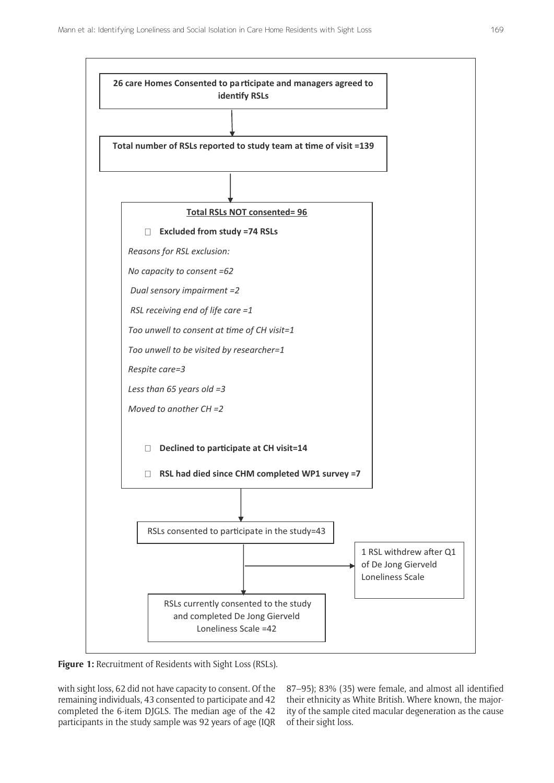

**Figure 1:** Recruitment of Residents with Sight Loss (RSLs).

with sight loss, 62 did not have capacity to consent. Of the remaining individuals, 43 consented to participate and 42 completed the 6-item DJGLS. The median age of the 42 participants in the study sample was 92 years of age (IQR

87–95); 83% (35) were female, and almost all identified their ethnicity as White British. Where known, the majority of the sample cited macular degeneration as the cause of their sight loss.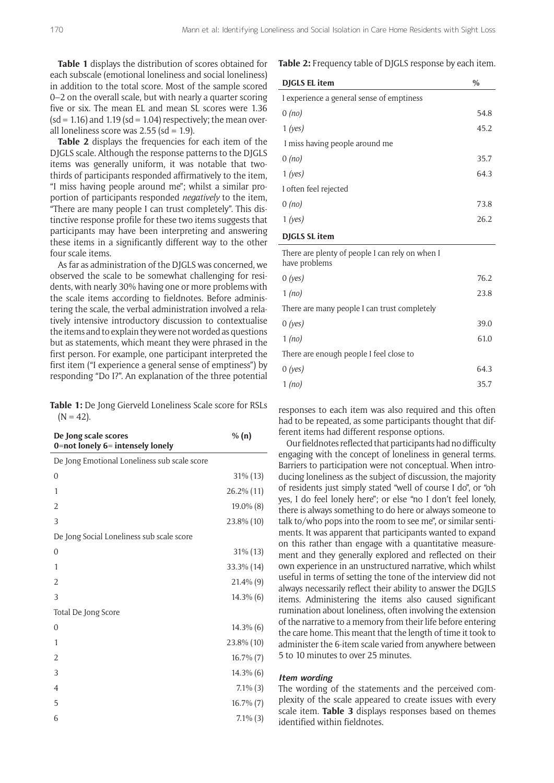**Table 1** displays the distribution of scores obtained for each subscale (emotional loneliness and social loneliness) in addition to the total score. Most of the sample scored 0–2 on the overall scale, but with nearly a quarter scoring five or six. The mean EL and mean SL scores were 1.36  $(sd = 1.16)$  and 1.19  $(sd = 1.04)$  respectively; the mean overall loneliness score was  $2.55$  (sd = 1.9).

**Table 2** displays the frequencies for each item of the DJGLS scale. Although the response patterns to the DJGLS items was generally uniform, it was notable that twothirds of participants responded affirmatively to the item, "I miss having people around me"; whilst a similar proportion of participants responded *negatively* to the item, "There are many people I can trust completely". This distinctive response profile for these two items suggests that participants may have been interpreting and answering these items in a significantly different way to the other four scale items.

As far as administration of the DJGLS was concerned, we observed the scale to be somewhat challenging for residents, with nearly 30% having one or more problems with the scale items according to fieldnotes. Before administering the scale, the verbal administration involved a relatively intensive introductory discussion to contextualise the items and to explain they were not worded as questions but as statements, which meant they were phrased in the first person. For example, one participant interpreted the first item ("I experience a general sense of emptiness") by responding "Do I?". An explanation of the three potential

**Table 1:** De Jong Gierveld Loneliness Scale score for RSLs  $(N = 42)$ .

| De Jong scale scores<br>0=not lonely 6= intensely lonely | % $(n)$        |
|----------------------------------------------------------|----------------|
| De Jong Emotional Loneliness sub scale score             |                |
| $\overline{0}$                                           | $31\%$ (13)    |
| $\mathbf{1}$                                             | 26.2% (11)     |
| $\overline{2}$                                           | 19.0% (8)      |
| 3                                                        | 23.8% (10)     |
| De Jong Social Loneliness sub scale score                |                |
| $\overline{0}$                                           | 31% (13)       |
| 1                                                        | 33.3% (14)     |
| 2                                                        | 21.4% (9)      |
| 3                                                        | $14.3\%$ (6)   |
| Total De Jong Score                                      |                |
| $\overline{0}$                                           | 14.3% (6)      |
| 1                                                        | 23.8% (10)     |
| 2                                                        | $16.7\%$ $(7)$ |
| 3                                                        | 14.3% (6)      |
| $\overline{4}$                                           | $7.1\%$ $(3)$  |
| 5                                                        | 16.7% (7)      |
| 6                                                        | $7.1\%$ $(3)$  |
|                                                          |                |

**Table 2:** Frequency table of DJGLS response by each item.

| <b>DIGLS EL item</b>                      | $\%$ |
|-------------------------------------------|------|
| I experience a general sense of emptiness |      |
| 0 (no)                                    | 54.8 |
| $1$ (yes)                                 | 45.2 |
| I miss having people around me            |      |
| 0 (no)                                    | 35.7 |
| $1$ (yes)                                 | 64.3 |
| I often feel rejected                     |      |
| $0$ (no)                                  | 73.8 |
| $1$ (yes)                                 | 26.2 |
|                                           |      |

# **DJGLS SL item**

| There are plenty of people I can rely on when I<br>have problems |      |
|------------------------------------------------------------------|------|
| 0(yes)                                                           | 76.2 |
| $1$ (no)                                                         | 23.8 |
| There are many people I can trust completely                     |      |
| 0(yes)                                                           | 39.0 |
| $1$ (no)                                                         | 61.0 |
| There are enough people I feel close to                          |      |
| $0$ (yes)                                                        | 64.3 |
| $1$ (no)                                                         | 35.7 |

responses to each item was also required and this often had to be repeated, as some participants thought that different items had different response options.

Our fieldnotes reflected that participants had no difficulty engaging with the concept of loneliness in general terms. Barriers to participation were not conceptual. When introducing loneliness as the subject of discussion, the majority of residents just simply stated "well of course I do", or "oh yes, I do feel lonely here"; or else "no I don't feel lonely, there is always something to do here or always someone to talk to/who pops into the room to see me", or similar sentiments. It was apparent that participants wanted to expand on this rather than engage with a quantitative measurement and they generally explored and reflected on their own experience in an unstructured narrative, which whilst useful in terms of setting the tone of the interview did not always necessarily reflect their ability to answer the DGJLS items. Administering the items also caused significant rumination about loneliness, often involving the extension of the narrative to a memory from their life before entering the care home. This meant that the length of time it took to administer the 6-item scale varied from anywhere between 5 to 10 minutes to over 25 minutes.

#### **Item wording**

The wording of the statements and the perceived complexity of the scale appeared to create issues with every scale item. **Table 3** displays responses based on themes identified within fieldnotes.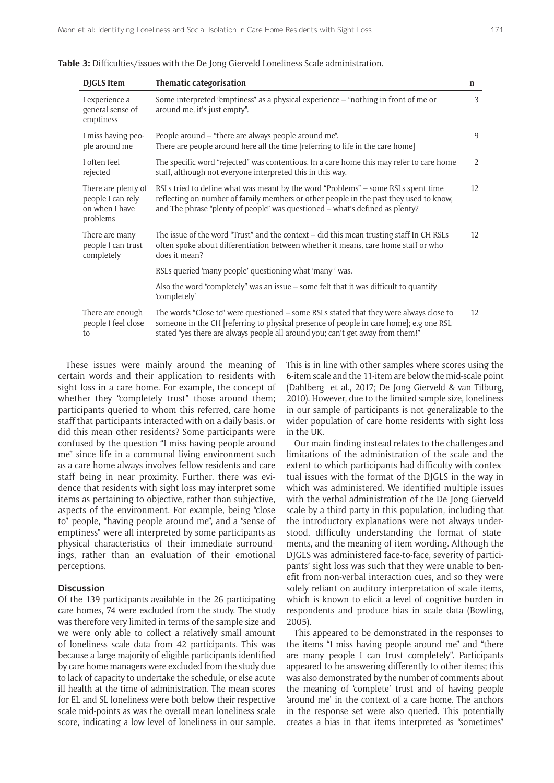| <b>DJGLS</b> Item                                                      | Thematic categorisation                                                                                                                                                                                                                                            | n  |
|------------------------------------------------------------------------|--------------------------------------------------------------------------------------------------------------------------------------------------------------------------------------------------------------------------------------------------------------------|----|
| I experience a<br>general sense of<br>emptiness                        | Some interpreted "emptiness" as a physical experience - "nothing in front of me or<br>around me, it's just empty".                                                                                                                                                 | 3  |
| I miss having peo-<br>ple around me                                    | People around - "there are always people around me".<br>There are people around here all the time [referring to life in the care home]                                                                                                                             | 9  |
| I often feel<br>rejected                                               | The specific word "rejected" was contentious. In a care home this may refer to care home<br>staff, although not everyone interpreted this in this way.                                                                                                             | 2  |
| There are plenty of<br>people I can rely<br>on when I have<br>problems | RSLs tried to define what was meant by the word "Problems" – some RSLs spent time<br>reflecting on number of family members or other people in the past they used to know,<br>and The phrase "plenty of people" was questioned - what's defined as plenty?         | 12 |
| There are many<br>people I can trust<br>completely                     | The issue of the word "Trust" and the context - did this mean trusting staff In CH RSLs<br>often spoke about differentiation between whether it means, care home staff or who<br>does it mean?                                                                     | 12 |
|                                                                        | RSLs queried 'many people' questioning what 'many ' was.                                                                                                                                                                                                           |    |
|                                                                        | Also the word "completely" was an issue – some felt that it was difficult to quantify<br>'completely'                                                                                                                                                              |    |
| There are enough<br>people I feel close<br>to                          | The words "Close to" were questioned - some RSLs stated that they were always close to<br>someone in the CH [referring to physical presence of people in care home]; e.g one RSL<br>stated "yes there are always people all around you; can't get away from them!" | 12 |

These issues were mainly around the meaning of certain words and their application to residents with sight loss in a care home. For example, the concept of whether they "completely trust" those around them; participants queried to whom this referred, care home staff that participants interacted with on a daily basis, or did this mean other residents? Some participants were confused by the question "I miss having people around me" since life in a communal living environment such as a care home always involves fellow residents and care staff being in near proximity. Further, there was evidence that residents with sight loss may interpret some items as pertaining to objective, rather than subjective, aspects of the environment. For example, being "close to" people, "having people around me", and a "sense of emptiness" were all interpreted by some participants as physical characteristics of their immediate surroundings, rather than an evaluation of their emotional perceptions.

#### **Discussion**

Of the 139 participants available in the 26 participating care homes, 74 were excluded from the study. The study was therefore very limited in terms of the sample size and we were only able to collect a relatively small amount of loneliness scale data from 42 participants. This was because a large majority of eligible participants identified by care home managers were excluded from the study due to lack of capacity to undertake the schedule, or else acute ill health at the time of administration. The mean scores for EL and SL loneliness were both below their respective scale mid-points as was the overall mean loneliness scale score, indicating a low level of loneliness in our sample. This is in line with other samples where scores using the 6-item scale and the 11-item are below the mid-scale point (Dahlberg et al., 2017; De Jong Gierveld & van Tilburg, 2010). However, due to the limited sample size, loneliness in our sample of participants is not generalizable to the wider population of care home residents with sight loss in the UK.

Our main finding instead relates to the challenges and limitations of the administration of the scale and the extent to which participants had difficulty with contextual issues with the format of the DJGLS in the way in which was administered. We identified multiple issues with the verbal administration of the De Jong Gierveld scale by a third party in this population, including that the introductory explanations were not always understood, difficulty understanding the format of statements, and the meaning of item wording. Although the DJGLS was administered face-to-face, severity of participants' sight loss was such that they were unable to benefit from non-verbal interaction cues, and so they were solely reliant on auditory interpretation of scale items, which is known to elicit a level of cognitive burden in respondents and produce bias in scale data (Bowling, 2005).

This appeared to be demonstrated in the responses to the items "I miss having people around me" and "there are many people I can trust completely". Participants appeared to be answering differently to other items; this was also demonstrated by the number of comments about the meaning of 'complete' trust and of having people 'around me' in the context of a care home. The anchors in the response set were also queried. This potentially creates a bias in that items interpreted as "sometimes"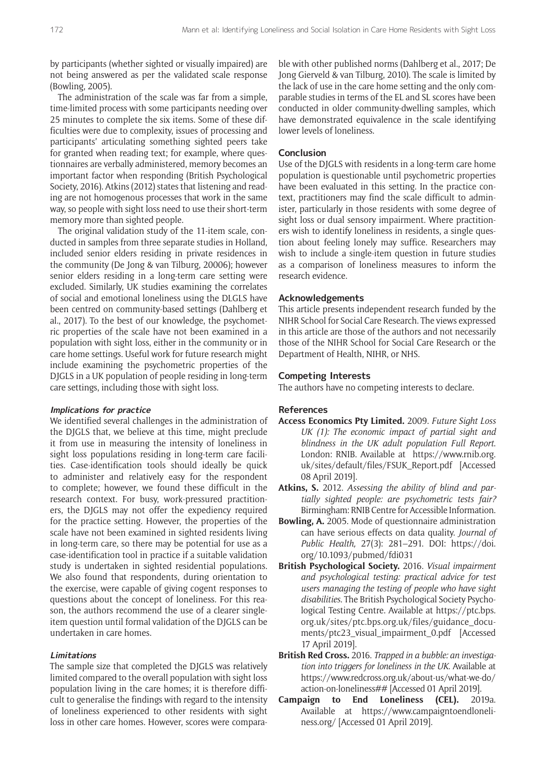by participants (whether sighted or visually impaired) are not being answered as per the validated scale response (Bowling, 2005).

The administration of the scale was far from a simple, time-limited process with some participants needing over 25 minutes to complete the six items. Some of these difficulties were due to complexity, issues of processing and participants' articulating something sighted peers take for granted when reading text; for example, where questionnaires are verbally administered, memory becomes an important factor when responding (British Psychological Society, 2016). Atkins (2012) states that listening and reading are not homogenous processes that work in the same way, so people with sight loss need to use their short-term memory more than sighted people.

The original validation study of the 11-item scale, conducted in samples from three separate studies in Holland, included senior elders residing in private residences in the community (De Jong & van Tilburg, 20006); however senior elders residing in a long-term care setting were excluded. Similarly, UK studies examining the correlates of social and emotional loneliness using the DLGLS have been centred on community-based settings (Dahlberg et al., 2017). To the best of our knowledge, the psychometric properties of the scale have not been examined in a population with sight loss, either in the community or in care home settings. Useful work for future research might include examining the psychometric properties of the DJGLS in a UK population of people residing in long-term care settings, including those with sight loss.

#### **Implications for practice**

We identified several challenges in the administration of the DJGLS that, we believe at this time, might preclude it from use in measuring the intensity of loneliness in sight loss populations residing in long-term care facilities. Case-identification tools should ideally be quick to administer and relatively easy for the respondent to complete; however, we found these difficult in the research context. For busy, work-pressured practitioners, the DJGLS may not offer the expediency required for the practice setting. However, the properties of the scale have not been examined in sighted residents living in long-term care, so there may be potential for use as a case-identification tool in practice if a suitable validation study is undertaken in sighted residential populations. We also found that respondents, during orientation to the exercise, were capable of giving cogent responses to questions about the concept of loneliness. For this reason, the authors recommend the use of a clearer singleitem question until formal validation of the DJGLS can be undertaken in care homes.

## **Limitations**

The sample size that completed the DJGLS was relatively limited compared to the overall population with sight loss population living in the care homes; it is therefore difficult to generalise the findings with regard to the intensity of loneliness experienced to other residents with sight loss in other care homes. However, scores were comparable with other published norms (Dahlberg et al., 2017; De Jong Gierveld & van Tilburg, 2010). The scale is limited by the lack of use in the care home setting and the only comparable studies in terms of the EL and SL scores have been conducted in older community-dwelling samples, which have demonstrated equivalence in the scale identifying lower levels of loneliness.

#### **Conclusion**

Use of the DJGLS with residents in a long-term care home population is questionable until psychometric properties have been evaluated in this setting. In the practice context, practitioners may find the scale difficult to administer, particularly in those residents with some degree of sight loss or dual sensory impairment. Where practitioners wish to identify loneliness in residents, a single question about feeling lonely may suffice. Researchers may wish to include a single-item question in future studies as a comparison of loneliness measures to inform the research evidence.

## **Acknowledgements**

This article presents independent research funded by the NIHR School for Social Care Research. The views expressed in this article are those of the authors and not necessarily those of the NIHR School for Social Care Research or the Department of Health, NIHR, or NHS.

#### **Competing Interests**

The authors have no competing interests to declare.

#### **References**

- **Access Economics Pty Limited.** 2009. *Future Sight Loss UK (1): The economic impact of partial sight and blindness in the UK adult population Full Report*. London: RNIB. Available at https://www.rnib.org. uk/sites/default/files/FSUK\_Report.pdf [Accessed 08 April 2019].
- **Atkins, S.** 2012. *Assessing the ability of blind and partially sighted people: are psychometric tests fair?* Birmingham: RNIB Centre for Accessible Information.
- **Bowling, A.** 2005. Mode of questionnaire administration can have serious effects on data quality. *Journal of Public Health,* 27(3): 281–291. DOI: https://doi. org/10.1093/pubmed/fdi031
- **British Psychological Society.** 2016. *Visual impairment and psychological testing: practical advice for test users managing the testing of people who have sight disabilities*. The British Psychological Society Psychological Testing Centre. Available at https://ptc.bps. org.uk/sites/ptc.bps.org.uk/files/guidance\_documents/ptc23\_visual\_impairment\_0.pdf [Accessed 17 April 2019].
- **British Red Cross.** 2016. *Trapped in a bubble: an investigation into triggers for loneliness in the UK*. Available at https://www.redcross.org.uk/about-us/what-we-do/ action-on-loneliness## [Accessed 01 April 2019].
- **Campaign to End Loneliness (CEL).** 2019a. Available at https://www.campaigntoendloneliness.org/ [Accessed 01 April 2019].